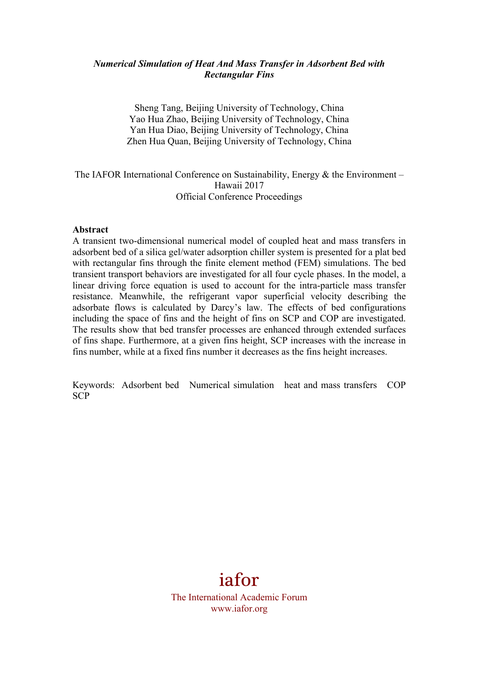## *Numerical Simulation of Heat And Mass Transfer in Adsorbent Bed with Rectangular Fins*

Sheng Tang, Beijing University of Technology, China Yao Hua Zhao, Beijing University of Technology, China Yan Hua Diao, Beijing University of Technology, China Zhen Hua Quan, Beijing University of Technology, China

## The IAFOR International Conference on Sustainability, Energy & the Environment – Hawaii 2017 Official Conference Proceedings

### **Abstract**

A transient two-dimensional numerical model of coupled heat and mass transfers in adsorbent bed of a silica gel/water adsorption chiller system is presented for a plat bed with rectangular fins through the finite element method (FEM) simulations. The bed transient transport behaviors are investigated for all four cycle phases. In the model, a linear driving force equation is used to account for the intra-particle mass transfer resistance. Meanwhile, the refrigerant vapor superficial velocity describing the adsorbate flows is calculated by Darcy's law. The effects of bed configurations including the space of fins and the height of fins on SCP and COP are investigated. The results show that bed transfer processes are enhanced through extended surfaces of fins shape. Furthermore, at a given fins height, SCP increases with the increase in fins number, while at a fixed fins number it decreases as the fins height increases.

Keywords: Adsorbent bed Numerical simulation heat and mass transfers COP **SCP** 

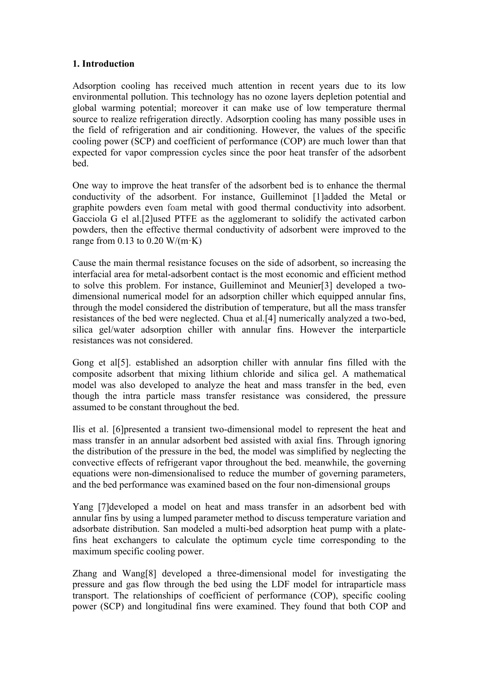# **1. Introduction**

Adsorption cooling has received much attention in recent years due to its low environmental pollution. This technology has no ozone layers depletion potential and global warming potential; moreover it can make use of low temperature thermal source to realize refrigeration directly. Adsorption cooling has many possible uses in the field of refrigeration and air conditioning. However, the values of the specific cooling power (SCP) and coefficient of performance (COP) are much lower than that expected for vapor compression cycles since the poor heat transfer of the adsorbent bed.

One way to improve the heat transfer of the adsorbent bed is to enhance the thermal conductivity of the adsorbent. For instance, Guilleminot [1]added the Metal or graphite powders even foam metal with good thermal conductivity into adsorbent. Gacciola G el al.[2]used PTFE as the agglomerant to solidify the activated carbon powders, then the effective thermal conductivity of adsorbent were improved to the range from 0.13 to 0.20  $W/(m \cdot K)$ 

Cause the main thermal resistance focuses on the side of adsorbent, so increasing the interfacial area for metal-adsorbent contact is the most economic and efficient method to solve this problem. For instance, Guilleminot and Meunier[3] developed a twodimensional numerical model for an adsorption chiller which equipped annular fins, through the model considered the distribution of temperature, but all the mass transfer resistances of the bed were neglected. Chua et al.[4] numerically analyzed a two-bed, silica gel/water adsorption chiller with annular fins. However the interparticle resistances was not considered.

Gong et al[5]. established an adsorption chiller with annular fins filled with the composite adsorbent that mixing lithium chloride and silica gel. A mathematical model was also developed to analyze the heat and mass transfer in the bed, even though the intra particle mass transfer resistance was considered, the pressure assumed to be constant throughout the bed.

Ilis et al. [6]presented a transient two-dimensional model to represent the heat and mass transfer in an annular adsorbent bed assisted with axial fins. Through ignoring the distribution of the pressure in the bed, the model was simplified by neglecting the convective effects of refrigerant vapor throughout the bed. meanwhile, the governing equations were non-dimensionalised to reduce the mumber of governing parameters, and the bed performance was examined based on the four non-dimensional groups

Yang [7]developed a model on heat and mass transfer in an adsorbent bed with annular fins by using a lumped parameter method to discuss temperature variation and adsorbate distribution. San modeled a multi-bed adsorption heat pump with a platefins heat exchangers to calculate the optimum cycle time corresponding to the maximum specific cooling power.

Zhang and Wang[8] developed a three-dimensional model for investigating the pressure and gas flow through the bed using the LDF model for intraparticle mass transport. The relationships of coefficient of performance (COP), specific cooling power (SCP) and longitudinal fins were examined. They found that both COP and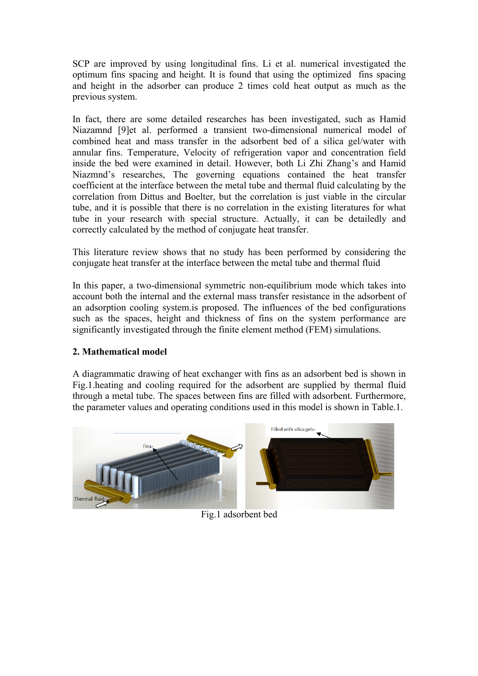SCP are improved by using longitudinal fins. Li et al. numerical investigated the optimum fins spacing and height. It is found that using the optimized fins spacing and height in the adsorber can produce 2 times cold heat output as much as the previous system.

In fact, there are some detailed researches has been investigated, such as Hamid Niazamnd [9]et al. performed a transient two-dimensional numerical model of combined heat and mass transfer in the adsorbent bed of a silica gel/water with annular fins. Temperature, Velocity of refrigeration vapor and concentration field inside the bed were examined in detail. However, both Li Zhi Zhang's and Hamid Niazmnd's researches, The governing equations contained the heat transfer coefficient at the interface between the metal tube and thermal fluid calculating by the correlation from Dittus and Boelter, but the correlation is just viable in the circular tube, and it is possible that there is no correlation in the existing literatures for what tube in your research with special structure. Actually, it can be detailedly and correctly calculated by the method of conjugate heat transfer.

This literature review shows that no study has been performed by considering the conjugate heat transfer at the interface between the metal tube and thermal fluid

In this paper, a two-dimensional symmetric non-equilibrium mode which takes into account both the internal and the external mass transfer resistance in the adsorbent of an adsorption cooling system.is proposed. The influences of the bed configurations such as the spaces, height and thickness of fins on the system performance are significantly investigated through the finite element method (FEM) simulations.

# **2. Mathematical model**

A diagrammatic drawing of heat exchanger with fins as an adsorbent bed is shown in Fig.1.heating and cooling required for the adsorbent are supplied by thermal fluid through a metal tube. The spaces between fins are filled with adsorbent. Furthermore, the parameter values and operating conditions used in this model is shown in Table.1.



Fig.1 adsorbent bed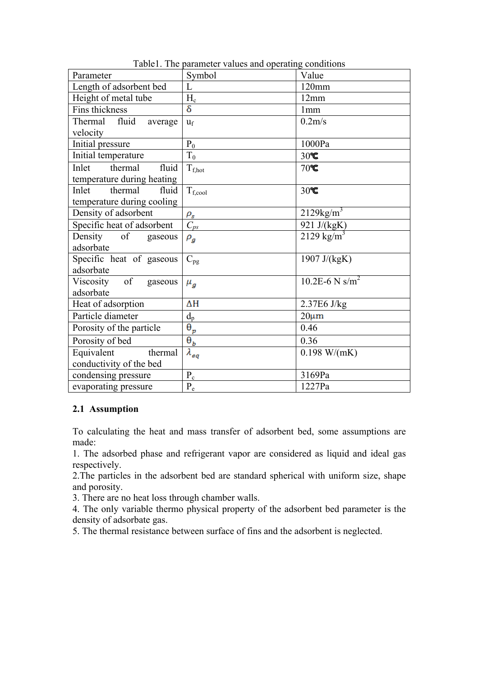| Parameter                  | Symbol                  | Value                            |
|----------------------------|-------------------------|----------------------------------|
| Length of adsorbent bed    | L                       | 120mm                            |
| Height of metal tube       | $\mathbf{H}_{\rm c}$    | 12mm                             |
| Fins thickness             | δ                       | 1mm                              |
| Thermal fluid<br>average   | $u_f$                   | 0.2 <sub>m/s</sub>               |
| velocity                   |                         |                                  |
| Initial pressure           | $P_0$                   | 1000Pa                           |
| Initial temperature        | $T_0$                   | 30℃                              |
| Inlet<br>thermal<br>fluid  | $T_{f,hot}$             | 70℃                              |
| temperature during heating |                         |                                  |
| Inlet<br>thermal<br>fluid  | $T_{f,cool}$            | 30℃                              |
| temperature during cooling |                         |                                  |
| Density of adsorbent       | $\rho_{s}$              | $2129$ kg/m <sup>3</sup>         |
| Specific heat of adsorbent | $C_{ps}$                | 921 J/(kgK)                      |
| Density of gaseous         | $\rho_g$                | $2\overline{129 \text{ kg/m}^3}$ |
| adsorbate                  |                         |                                  |
| Specific heat of gaseous   | $C_{pg}$                | 1907 J/(kgK)                     |
| adsorbate                  |                         |                                  |
| Viscosity of gaseous       | $\mu_{\mathfrak{a}}$    | 10.2E-6 N $s/m^2$                |
| adsorbate                  |                         |                                  |
| Heat of adsorption         | $\Delta H$              | 2.37E6 J/kg                      |
| Particle diameter          | $d_{p}$                 | $20 \mu m$                       |
| Porosity of the particle   | $\boldsymbol{\theta}_p$ | 0.46                             |
| Porosity of bed            | $\theta_b$              | 0.36                             |
| Equivalent<br>thermal      | $\lambda_{sq}$          | 0.198 W/(mK)                     |
| conductivity of the bed    |                         |                                  |
| condensing pressure        | $\mathbf{P}_{\rm c}$    | 3169Pa                           |
| evaporating pressure       | $P_e$                   | 1227Pa                           |

Table1. The parameter values and operating conditions

## **2.1 Assumption**

To calculating the heat and mass transfer of adsorbent bed, some assumptions are made:

1. The adsorbed phase and refrigerant vapor are considered as liquid and ideal gas respectively.

2.The particles in the adsorbent bed are standard spherical with uniform size, shape and porosity.

3. There are no heat loss through chamber walls.

4. The only variable thermo physical property of the adsorbent bed parameter is the density of adsorbate gas.

5. The thermal resistance between surface of fins and the adsorbent is neglected.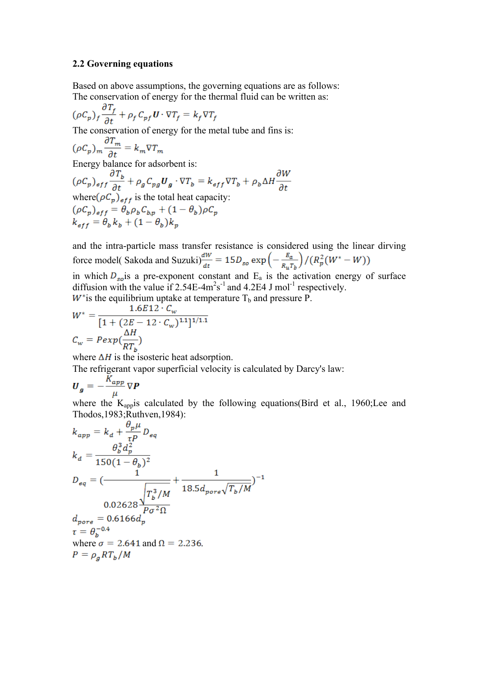#### **2.2 Governing equations**

Based on above assumptions, the governing equations are as follows: The conservation of energy for the thermal fluid can be written as:

$$
(\rho C_p)_f \frac{\partial T_f}{\partial t} + \rho_f C_{pf} \mathbf{U} \cdot \nabla T_f = k_f \nabla T_f
$$

The conservation of energy for the metal tube and fins is:  $2<sub>T</sub>$ 

$$
(\rho C_p)_m \frac{\partial T_m}{\partial t} = k_m \nabla T_m
$$
  
Energy balance for adsorbent is:  

$$
(\rho C_p)_{eff} \frac{\partial T_b}{\partial t} + \rho_g C_{pg} U_g \cdot \nabla T_b = k_{eff} \nabla T_b + \rho_b \Delta H \frac{\partial W}{\partial t}
$$
  
where
$$
(\rho C_p)_{eff} \text{ is the total heat capacity:}
$$

$$
(\rho C_p)_{eff} = \theta_b \rho_b C_{b,p} + (1 - \theta_b) \rho C_p
$$

$$
k_{eff} = \theta_b k_b + (1 - \theta_b) k_p
$$

and the intra-particle mass transfer resistance is considered using the linear dirving force model( Sakoda and Suzuki) $\frac{dw}{dt} = 15D_{so} \exp\left(-\frac{E_a}{R_u T_b}\right) / (R_p^2 (W^* - W))$ 

 $\overline{\partial t}$ 

in which  $D_{so}$  is a pre-exponent constant and  $E_a$  is the activation energy of surface diffusion with the value if  $2.54E-4m^2s^{-1}$  and  $4.2E4$  J mol<sup>-1</sup> respectively.

 $W^*$  is the equilibrium uptake at temperature  $T_b$  and pressure P.

$$
W^* = \frac{1.6E12 \cdot C_w}{[1 + (2E - 12 \cdot C_w)^{1.1}]^{1/1.1}}
$$

$$
C_w = Pexp(\frac{\Delta H}{RT_w})
$$

where  $\Delta H$  is the isosteric heat adsorption.

The refrigerant vapor superficial velocity is calculated by Darcy's law:

$$
\boldsymbol{U}_{g}=-\frac{K_{app}}{\mu}\nabla\boldsymbol{P}
$$

where the K<sub>app</sub>is calculated by the following equations(Bird et al., 1960;Lee and Thodos,1983;Ruthven,1984):

$$
k_{app} = k_d + \frac{\theta_p \mu}{\tau P} D_{eq}
$$
  
\n
$$
k_d = \frac{\theta_b^3 d_p^2}{150(1 - \theta_b)^2}
$$
  
\n
$$
D_{eq} = \left(\frac{1}{\sqrt{\frac{T_b^3}{M}} + \frac{1}{18.5d_{pore}\sqrt{T_b/M}}}\right)^{-1}
$$
  
\n
$$
0.02628 \frac{\sqrt{T_b^3/M}}{P\sigma^2 \Omega}
$$
  
\n
$$
d_{pore} = 0.6166d_p
$$
  
\n
$$
\tau = \theta_b^{-0.4}
$$
  
\nwhere  $\sigma = 2.641$  and  $\Omega = 2.236$ .  
\n
$$
P = \rho_g RT_b/M
$$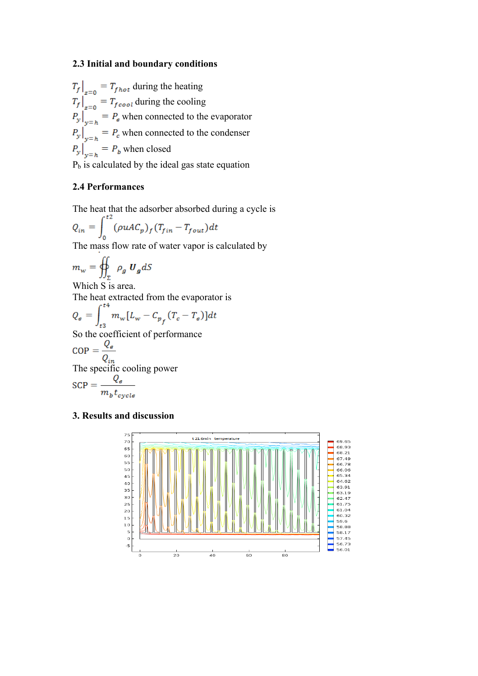### **2.3 Initial and boundary conditions**

 $T_f\Big|_{z=0} = T_{fhot}$  during the heating  $T_f\Big|_{z=0} = T_{fcool}$  during the cooling  $P_y\Big|_{y=h}^{\infty} = P_e$  when connected to the evaporator  $P_y|_{y=h} = P_c$  when connected to the condenser  $P_y|_{y=h} = P_b$  when closed  $P_b$  is calculated by the ideal gas state equation

### **2.4 Performances**

The heat that the adsorber absorbed during a cycle is

$$
Q_{in} = \int_0^{t2} (\rho u A C_p)_f (T_{fin} - T_{fout}) dt
$$

The mass flow rate of water vapor is calculated by

$$
m_w = \oiint_{\Sigma} \rho_g \ U_g dS
$$

Which S is area.

The heat extracted from the evaporator is

$$
Q_{\epsilon} = \int_{t_3}^{t_4} m_w [L_w - C_{p_f} (T_c - T_{\epsilon})] dt
$$
  
So the coefficient of performance  
 
$$
COP = \frac{Q_{\epsilon}}{Q_{in}}
$$
  
The specific cooling power  
 
$$
SCP = \frac{Q_{\epsilon}}{m_b t_{cycle}}
$$

**3. Results and discussion**

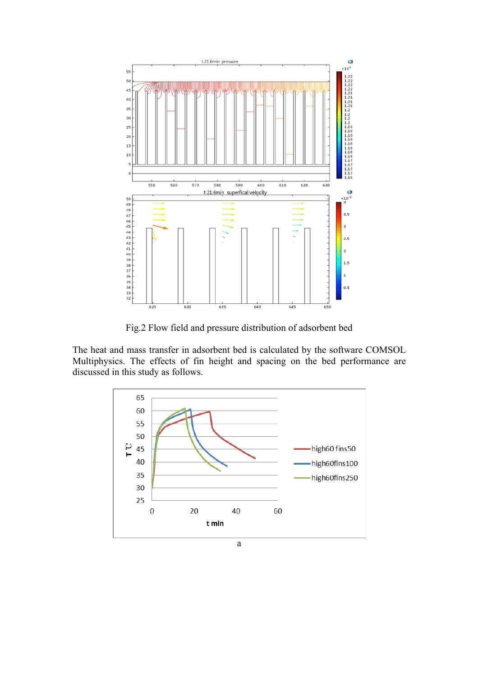

Fig.2 Flow field and pressure distribution of adsorbent bed

The heat and mass transfer in adsorbent bed is calculated by the software COMSOL Multiphysics. The effects of fin height and spacing on the bed performance are discussed in this study as follows.

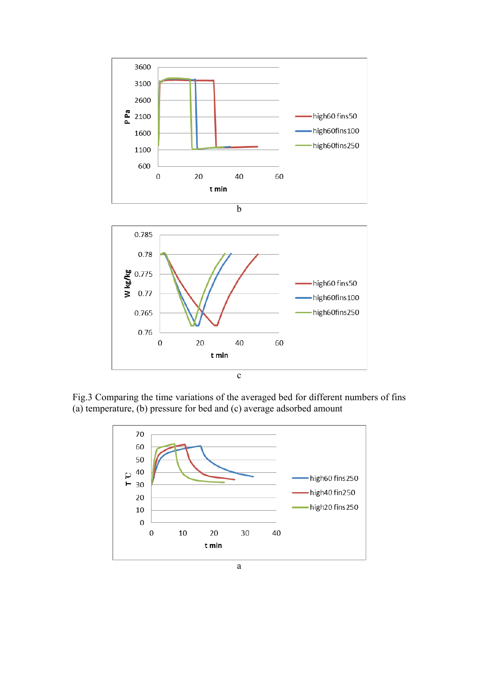



Fig.3 Comparing the time variations of the averaged bed for different numbers of fins (a) temperature, (b) pressure for bed and (c) average adsorbed amount

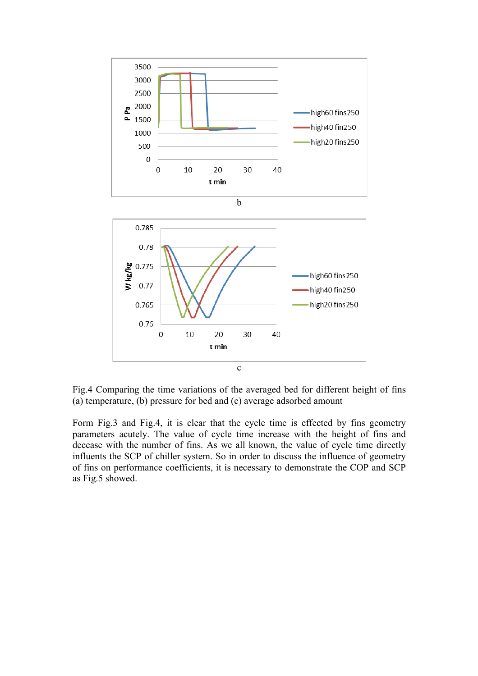

Fig.4 Comparing the time variations of the averaged bed for different height of fins (a) temperature, (b) pressure for bed and (c) average adsorbed amount

Form Fig.3 and Fig.4, it is clear that the cycle time is effected by fins geometry parameters acutely. The value of cycle time increase with the height of fins and decease with the number of fins. As we all known, the value of cycle time directly influents the SCP of chiller system. So in order to discuss the influence of geometry of fins on performance coefficients, it is necessary to demonstrate the COP and SCP as Fig.5 showed.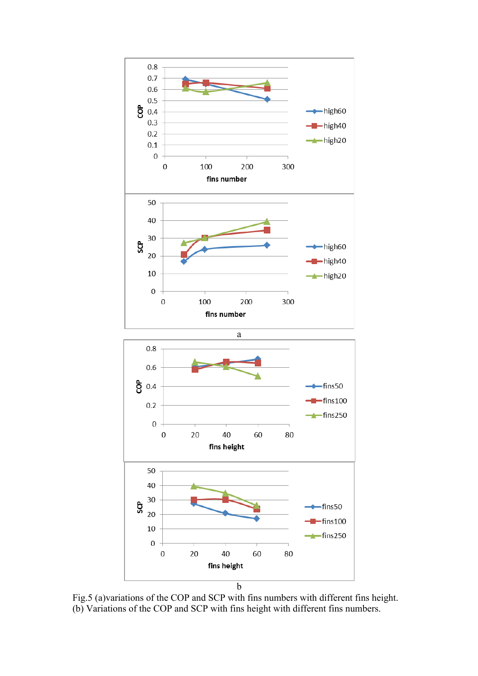

Fig.5 (a)variations of the COP and SCP with fins numbers with different fins height. (b) Variations of the COP and SCP with fins height with different fins numbers.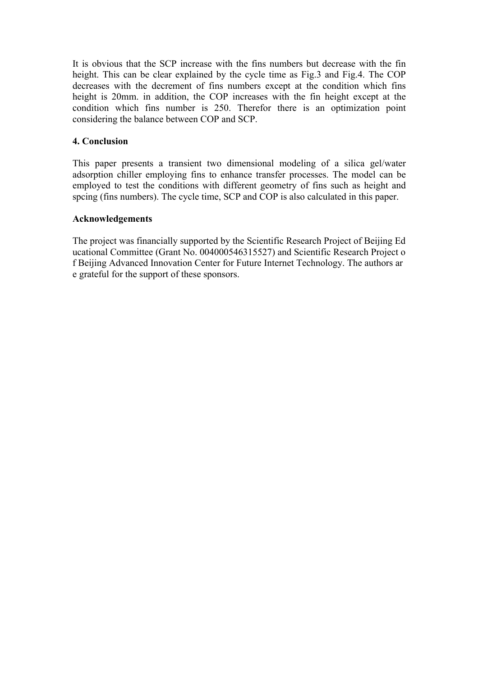It is obvious that the SCP increase with the fins numbers but decrease with the fin height. This can be clear explained by the cycle time as Fig.3 and Fig.4. The COP decreases with the decrement of fins numbers except at the condition which fins height is 20mm. in addition, the COP increases with the fin height except at the condition which fins number is 250. Therefor there is an optimization point considering the balance between COP and SCP.

# **4. Conclusion**

This paper presents a transient two dimensional modeling of a silica gel/water adsorption chiller employing fins to enhance transfer processes. The model can be employed to test the conditions with different geometry of fins such as height and spcing (fins numbers). The cycle time, SCP and COP is also calculated in this paper.

## **Acknowledgements**

The project was financially supported by the Scientific Research Project of Beijing Ed ucational Committee (Grant No. 004000546315527) and Scientific Research Project o f Beijing Advanced Innovation Center for Future Internet Technology. The authors ar e grateful for the support of these sponsors.